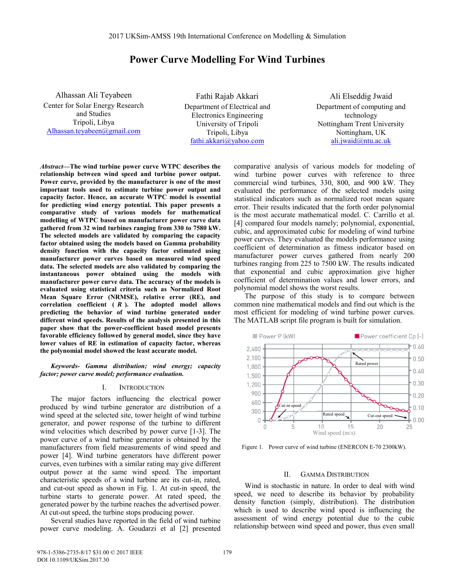# **Power Curve Modelling For Wind Turbines**

Alhassan Ali Teyabeen Center for Solar Energy Research and Studies Tripoli, Libya Alhassan.teyabeen@gmail.com

Fathi Rajab Akkari Department of Electrical and Electronics Engineering University of Tripoli Tripoli, Libya fathi.akkari@yahoo.com

Ali Elseddig Jwaid Department of computing and technology Nottingham Trent University Nottingham, UK ali.jwaid@ntu.ac.uk

*Abstract***—The wind turbine power curve WTPC describes the relationship between wind speed and turbine power output. Power curve, provided by the manufacturer is one of the most important tools used to estimate turbine power output and capacity factor. Hence, an accurate WTPC model is essential for predicting wind energy potential. This paper presents a comparative study of various models for mathematical modelling of WTPC based on manufacturer power curve data gathered from 32 wind turbines ranging from 330 to 7580 kW. The selected models are validated by comparing the capacity factor obtained using the models based on Gamma probability density function with the capacity factor estimated using manufacturer power curves based on measured wind speed data. The selected models are also validated by comparing the instantaneous power obtained using the models with manufacturer power curve data. The accuracy of the models is evaluated using statistical criteria such as Normalized Root Mean Square Error (NRMSE), relative error (RE), and**  correlation coefficient ( $R$ ). The adopted model allows **predicting the behavior of wind turbine generated under different wind speeds. Results of the analysis presented in this paper show that the power-coefficient based model presents favorable efficiency followed by general model, since they have lower values of RE in estimation of capacity factor, whereas the polynomial model showed the least accurate model.** 

*Keywords- Gamma distribution; wind energy; capacity factor; power curve model; performance evaluation.* 

#### I. INTRODUCTION

The major factors influencing the electrical power produced by wind turbine generator are distribution of a wind speed at the selected site, tower height of wind turbine generator, and power response of the turbine to different wind velocities which described by power curve [1-3]. The power curve of a wind turbine generator is obtained by the manufacturers from field measurements of wind speed and power [4]. Wind turbine generators have different power curves, even turbines with a similar rating may give different output power at the same wind speed. The important characteristic speeds of a wind turbine are its cut-in, rated, and cut-out speed as shown in Fig. 1. At cut-in speed, the turbine starts to generate power. At rated speed, the generated power by the turbine reaches the advertised power. At cut-out speed, the turbine stops producing power.

Several studies have reported in the field of wind turbine power curve modeling. A. Goudarzi et al [2] presented

comparative analysis of various models for modeling of wind turbine power curves with reference to three commercial wind turbines, 330, 800, and 900 kW. They evaluated the performance of the selected models using statistical indicators such as normalized root mean square error. Their results indicated that the forth order polynomial is the most accurate mathematical model. C. Carrillo et al. [4] compared four models namely; polynomial, exponential, cubic, and approximated cubic for modeling of wind turbine power curves. They evaluated the models performance using coefficient of determination as fitness indicator based on manufacturer power curves gathered from nearly 200 turbines ranging from 225 to 7500 kW. The results indicated that exponential and cubic approximation give higher coefficient of determination values and lower errors, and polynomial model shows the worst results.

The purpose of this study is to compare between common nine mathematical models and find out which is the most efficient for modeling of wind turbine power curves. The MATLAB script file program is built for simulation.



Figure 1. Power curve of wind turbine (ENERCON E-70 2300kW).

#### II. GAMMA DISTRIBUTION

Wind is stochastic in nature. In order to deal with wind speed, we need to describe its behavior by probability density function (simply, distribution). The distribution which is used to describe wind speed is influencing the assessment of wind energy potential due to the cubic relationship between wind speed and power, thus even small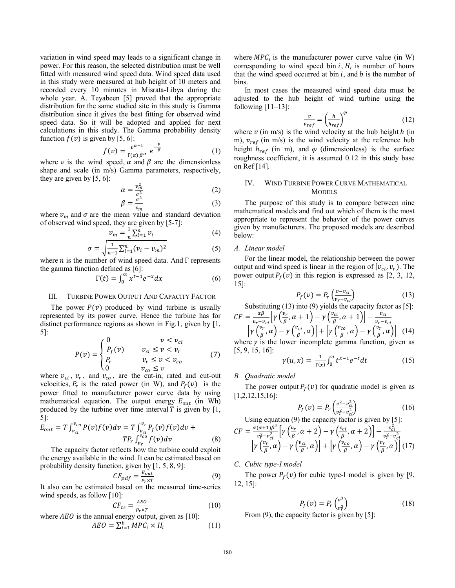variation in wind speed may leads to a significant change in power. For this reason, the selected distribution must be well fitted with measured wind speed data. Wind speed data used in this study were measured at hub height of 10 meters and recorded every 10 minutes in Misrata-Libya during the whole year. A. Teyabeen [5] proved that the appropriate distribution for the same studied site in this study is Gamma distribution since it gives the best fitting for observed wind speed data. So it will be adopted and applied for next calculations in this study. The Gamma probability density function  $f(v)$  is given by [5, 6]:

$$
f(v) = \frac{v^{\alpha - 1}}{\Gamma(\alpha)\beta^{\alpha}} e^{-\frac{v}{\beta}}
$$
 (1)

where  $\nu$  is the wind speed,  $\alpha$  and  $\beta$  are the dimensionless shape and scale (in m/s) Gamma parameters, respectively, they are given by  $[5, 6]$ :

$$
\alpha = \frac{v_m^2}{\sigma_z^2} \tag{2}
$$

$$
\beta = \frac{\sigma^2}{v_m} \tag{3}
$$

where  $v_m$  and  $\sigma$  are the mean value and standard deviation of observed wind speed, they are given by [5-7]:

$$
v_m = \frac{1}{n} \sum_{i=1}^n v_i \tag{4}
$$

$$
\sigma = \sqrt{\frac{1}{n-1} \sum_{i=1}^{n} (\nu_i - \nu_m)^2}
$$
 (5)

where  $n$  is the number of wind speed data. And  $\Gamma$  represents the gamma function defined as [6]:

$$
\Gamma(t) = \int_0^\infty x^{t-1} e^{-x} dx \tag{6}
$$

## III. TURBINE POWER OUTPUT AND CAPACITY FACTOR

The power  $P(v)$  produced by wind turbine is usually represented by its power curve. Hence the turbine has for distinct performance regions as shown in Fig.1, given by [1, 5]:

$$
P(v) = \begin{cases} 0 & v < v_{ci} \\ P_f(v) & v_{ci} \le v < v_r \\ P_r & v_r \le v < v_{co} \\ 0 & v_{co} \le v \end{cases}
$$
 (7)

where  $v_{ci}$ ,  $v_r$ , and  $v_{co}$ , are the cut-in, rated and cut-out velocities,  $P_r$  is the rated power (in W), and  $P_f(v)$  is the power fitted to manufacturer power curve data by using mathematical equation. The output energy  $E_{out}$  (in Wh) produced by the turbine over time interval  $T$  is given by [1, 5]:

$$
E_{out} = T \int_{v_{ci}}^{v_{co}} P(v) f(v) dv = T \int_{v_{ci}}^{v_r} P_f(v) f(v) dv +
$$
  
\n
$$
T P_r \int_{v_r}^{v_{co}} f(v) dv
$$
 (8)  
\nThe capacity factor reflects how the turbine could exploit

the energy available in the wind. It can be estimated based on probability density function, given by [1, 5, 8, 9]:

$$
CF_{pdf} = \frac{E_{out}}{P_r \times T}
$$
 (9)

It also can be estimated based on the measured time-series wind speeds, as follow [10]:

$$
CF_{ts} = \frac{AEO}{P_r \times T}
$$
 (10)

where  $AEO$  is the annual energy output, given as [10]:

$$
AEO = \sum_{i=1}^{b} MPC_i \times H_i \tag{11}
$$

where  $\text{MPC}_i$  is the manufacturer power curve value (in W) corresponding to wind speed bin  $i$ ,  $H_i$  is number of hours that the wind speed occurred at bin  $i$ , and  $b$  is the number of bins.

In most cases the measured wind speed data must be adjusted to the hub height of wind turbine using the following  $[11-13]$ :

$$
\frac{v}{v_{ref}} = \left(\frac{h}{h_{ref}}\right)^{\varphi} \tag{12}
$$

where  $\nu$  (in m/s) is the wind velocity at the hub height  $h$  (in m),  $v_{ref}$  (in m/s) is the wind velocity at the reference hub height  $h_{ref}$  (in m), and  $\varphi$  (dimensionless) is the surface roughness coefficient, it is assumed 0.12 in this study base on Ref [14].

## IV. WIND TURBINE POWER CURVE MATHEMATICAL **MODELS**

The purpose of this study is to compare between nine mathematical models and find out which of them is the most appropriate to represent the behavior of the power curves given by manufacturers. The proposed models are described below:

## *A. Linear model*

For the linear model, the relationship between the power output and wind speed is linear in the region of  $[v_{ci}, v_r]$ . The power output  $P_f(v)$  in this region is expressed as [2, 3, 12, 15]:

$$
P_f(v) = P_r\left(\frac{v - v_{ci}}{v_r - v_{ci}}\right) \tag{13}
$$

Substituting (13) into (9) yields the capacity factor as [5]:

$$
CF = \frac{\alpha \beta}{v_r - v_{ci}} \left[ \gamma \left( \frac{v_r}{\beta}, \alpha + 1 \right) - \gamma \left( \frac{v_{ci}}{\beta}, \alpha + 1 \right) \right] - \frac{v_{ci}}{v_r - v_{ci}}
$$
  
\n
$$
\left[ \gamma \left( \frac{v_r}{\beta}, \alpha \right) - \gamma \left( \frac{v_{ci}}{\beta}, \alpha \right) \right] + \left[ \gamma \left( \frac{v_{co}}{\beta}, \alpha \right) - \gamma \left( \frac{v_r}{\beta}, \alpha \right) \right] \tag{14}
$$
  
\nwhere  $\gamma$  is the lower incomplete gamma function given as

where  $\gamma$  is the lower incomplete gamma function, given as [5, 9, 15, 16]:

$$
\gamma(u, x) = \frac{1}{\Gamma(x)} \int_0^u t^{x-1} e^{-t} dt \tag{15}
$$

## *B. Quadratic model*

The power output  $P_f(v)$  for quadratic model is given as [1,2,12,15,16]:

$$
P_f(v) = P_r \left( \frac{v^2 - v_{ci}^2}{v_r^2 - v_{ci}^2} \right)
$$
 (16)

Using equation (9) the capacity factor is given by [5]:

$$
CF = \frac{\alpha(\alpha+1)\beta^2}{v_r^2 - v_{ci}^2} \left[ \gamma \left( \frac{v_r}{\beta}, \alpha+2 \right) - \gamma \left( \frac{v_{ci}}{\beta}, \alpha+2 \right) \right] - \frac{v_{ci}^2}{v_r^2 - v_{ci}^2} \left[ \gamma \left( \frac{v_r}{\beta}, \alpha \right) - \gamma \left( \frac{v_{ci}}{\beta}, \alpha \right) \right] + \left[ \gamma \left( \frac{v_{co}}{\beta}, \alpha \right) - \gamma \left( \frac{v_r}{\beta}, \alpha \right) \right] (17)
$$

## *C. Cubic type-I model*

The power  $P_f(v)$  for cubic type-I model is given by [9, 12, 15]:

$$
P_f(v) = P_r\left(\frac{v^3}{v_r^3}\right) \tag{18}
$$

From (9), the capacity factor is given by [5]: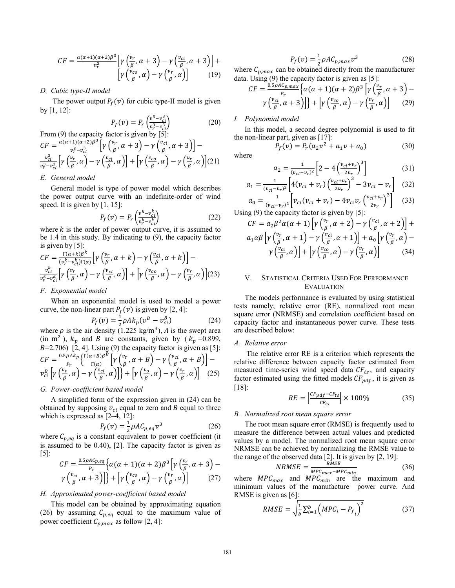$$
CF = \frac{\alpha(\alpha+1)(\alpha+2)\beta^3}{v_r^3} \left[ \gamma \left( \frac{v_r}{\beta}, \alpha+3 \right) - \gamma \left( \frac{v_{ci}}{\beta}, \alpha+3 \right) \right] + \left[ \gamma \left( \frac{v_{co}}{\beta}, \alpha \right) - \gamma \left( \frac{v_r}{\beta}, \alpha \right) \right] \tag{19}
$$

## *D. Cubic type-II model*

The power output  $P_f(v)$  for cubic type-II model is given by [1, 12]:

$$
P_f(v) = P_r \left( \frac{v^3 - v_{ci}^3}{v_r^3 - v_{ci}^3} \right) \tag{20}
$$

From (9) the capacity factor is given by [5]:  
\n
$$
CF = \frac{\alpha(\alpha+1)(\alpha+2)\beta^3}{v_r^3 - v_{ci}^3} \left[ \gamma \left( \frac{v_r}{\beta}, \alpha + 3 \right) - \gamma \left( \frac{v_{ci}}{\beta}, \alpha + 3 \right) \right] -
$$
\n
$$
\frac{v_{ci}^3}{v_r^3 - v_{ci}^3} \left[ \gamma \left( \frac{v_r}{\beta}, \alpha \right) - \gamma \left( \frac{v_{ci}}{\beta}, \alpha \right) \right] + \left[ \gamma \left( \frac{v_{co}}{\beta}, \alpha \right) - \gamma \left( \frac{v_r}{\beta}, \alpha \right) \right] (21)
$$

### *E. General model*

General model is type of power model which describes the power output curve with an indefinite-order of wind speed. It is given by  $[1, 15]$ :

$$
P_f(v) = P_r \left( \frac{v^k - v_{ci}^k}{v_r^k - v_{ci}^k} \right) \tag{22}
$$

where  $k$  is the order of power output curve, it is assumed to be 1.4 in this study. By indicating to (9), the capacity factor is given by [5]:

$$
CF = \frac{\Gamma(\alpha+k)\beta^{k}}{(v_{\beta}^{k}-v_{ci}^{k})\Gamma(\alpha)} \Big[ \gamma\left(\frac{v_{r}}{\beta}, \alpha+k\right) - \gamma\left(\frac{v_{ci}}{\beta}, \alpha+k\right) \Big] -
$$
  

$$
\frac{v_{ci}^{k}}{v_{\gamma}^{k}-v_{ci}^{k}} \Big[ \gamma\left(\frac{v_{r}}{\beta}, \alpha\right) - \gamma\left(\frac{v_{ci}}{\beta}, \alpha\right) \Big] + \Big[ \gamma\left(\frac{v_{co}}{\beta}, \alpha\right) - \gamma\left(\frac{v_{r}}{\beta}, \alpha\right) \Big] (23)
$$

### *F. Exponential model*

When an exponential model is used to model a power curve, the non-linear part  $P_f(v)$  is given by [2, 4]:

$$
P_f(v) = \frac{1}{2} \rho A k_p (v^B - v_{ci}^B)
$$
 (24)

where  $\rho$  is the air density (1.225 kg/m<sup>3</sup>), A is the swept area (in m<sup>2</sup>),  $k_p$  and B are constants, given by ( $k_p = 0.899$ ,  $B=2.706$  [2, 4]. Using (9) the capacity factor is given as [5]:  $CF = \frac{0.5\rho A k_P}{P_r} \Big\{ \frac{\Gamma(\alpha+B)\beta^B}{\Gamma(\alpha)} \Big[ \gamma \left( \frac{v_r}{\beta}, \alpha + B \right) - \gamma \left( \frac{v_{ci}}{\beta}, \alpha + B \right) \Big]$  $v_{ci}^{B}\left[\gamma\left(\frac{v_{r}}{\beta},\alpha\right)-\gamma\left(\frac{v_{ci}}{\beta},\alpha\right)\right]\right.\left.\left.\left.\left.\left.\left.\left.\left.\left.\left.\left.\rho_{i}\right|\right.\right.\right)\right\right]\right.\right.\left\langle\left.\left.\left.\left.\left.\left.\left.\right|\right.\right.\right\right\rangle\right\right\vert\right\}+\left[\gamma\left(\frac{v_{o}}{\beta},\alpha\right)-\gamma\left(\frac{v_{r}}{\beta},\alpha\right)\right]\right]$ (25)

## *G. Power-coefficient based model*

A simplified form of the expression given in (24) can be obtained by supposing  $v_{ci}$  equal to zero and B equal to three which is expressed as [2–4, 12]:

$$
P_f(v) = \frac{1}{2} \rho A C_{p,eq} v^3
$$
\n(26)

where  $C_{p,eq}$  is a constant equivalent to power coefficient (it is assumed to be 0.40), [2]. The capacity factor is given as  $[5]$ :

$$
CF = \frac{0.5\rho AC_{p,eq}}{P_r} \Big\{ \alpha(\alpha+1)(\alpha+2)\beta^3 \Big[ \gamma\left(\frac{v_r}{\beta}, \alpha+3\right) - \gamma\left(\frac{v_{ci}}{\beta}, \alpha+3\right) \Big] \Big\} + \Big[ \gamma\left(\frac{v_{co}}{\beta}, \alpha\right) - \gamma\left(\frac{v_r}{\beta}, \alpha\right) \Big] \tag{27}
$$

### *H. Approximated power-coefficient based model*

This model can be obtained by approximating equation (26) by assuming  $C_{p,eq}$  equal to the maximum value of power coefficient  $C_{p,max}$  as follow [2, 4]:

$$
P_f(v) = \frac{1}{2}\rho A C_{p,max} v^3
$$
 (28)

where  $C_{p,max}$  can be obtained directly from the manufacturer data. Using (9) the capacity factor is given as [5]:

$$
CF = \frac{{}^{0.5\rho AC_{p,max}}}{{}^{P_r}} \Big\{ \alpha(\alpha+1)(\alpha+2)\beta^3 \Big[ \gamma\Big(\frac{v_r}{\beta}, \alpha+3\Big) - \\ \gamma\Big(\frac{v_{ci}}{\beta}, \alpha+3\Big) \Big] \Big\} + \Big[ \gamma\Big(\frac{v_{co}}{\beta}, \alpha\Big) - \gamma\Big(\frac{v_r}{\beta}, \alpha\Big) \Big] \tag{29}
$$

#### *I. Polynomial model*

In this model, a second degree polynomial is used to fit the non-linear part, given as [17]:

where 
$$
P_f(v) = P_r(a_2v^2 + a_1v + a_0)
$$
 (30)

$$
a_2 = \frac{1}{(v_{ci} - v_r)^2} \left[ 2 - 4 \left( \frac{v_{ci} + v_r}{2v_r} \right)^3 \right]
$$
(31)

$$
a_1 = \frac{1}{(v_{ci} - v_r)^2} \left[ 4(v_{ci} + v_r) \left( \frac{v_{ci} + v_r}{2v_r} \right)^3 - 3v_{ci} - v_r \right] \tag{32}
$$

$$
a_0 = \frac{1}{(v_{ci} - v_r)^2} \left[ v_{ci} (v_{ci} + v_r) - 4v_{ci} v_r \left( \frac{v_{ci} + v_r}{2v_r} \right)^3 \right]
$$
 (33)

Using (9) the capacity factor is given by [5]:

$$
CF = a_2 \beta^2 \alpha (\alpha + 1) \left[ \gamma \left( \frac{v_r}{\beta}, \alpha + 2 \right) - \gamma \left( \frac{v_{ci}}{\beta}, \alpha + 2 \right) \right] +
$$
  

$$
a_1 \alpha \beta \left[ \gamma \left( \frac{v_r}{\beta}, \alpha + 1 \right) - \gamma \left( \frac{v_{ci}}{\beta}, \alpha + 1 \right) \right] + a_0 \left[ \gamma \left( \frac{v_r}{\beta}, \alpha \right) - \gamma \left( \frac{v_{ci}}{\beta}, \alpha \right) \right] + \left[ \gamma \left( \frac{v_{co}}{\beta}, \alpha \right) - \gamma \left( \frac{v_r}{\beta}, \alpha \right) \right] \tag{34}
$$

## V. STATISTICAL CRITERIA USED FOR PERFORMANCE EVALUATION

The models performance is evaluated by using statistical tests namely; relative error (RE), normalized root mean square error (NRMSE) and correlation coefficient based on capacity factor and instantaneous power curve. These tests are described below:

## *A. Relative error*

 The relative error RE is a criterion which represents the relative difference between capacity factor estimated from measured time-series wind speed data  $CF_{ts}$ , and capacity factor estimated using the fitted models  $CF_{pdf}$ , it is given as [18]:

$$
RE = \left| \frac{cF_{pdf} - cF_{ts}}{cF_{ts}} \right| \times 100\% \tag{35}
$$

#### *B. Normalized root mean square error*

The root mean square error (RMSE) is frequently used to measure the difference between actual values and predicted values by a model. The normalized root mean square error NRMSE can be achieved by normalizing the RMSE value to the range of the observed data [2]. It is given by [2, 19]:

$$
NRMSE = \frac{RMSE}{MPC_{max} - MPC_{min}}\tag{36}
$$

where  $\text{MPC}_{\text{max}}$  and  $\text{MPC}_{\text{min}}$  are the maximum and minimum values of the manufacture power curve. And RMSE is given as [6]:

$$
RMSE = \sqrt{\frac{1}{b} \sum_{i=1}^{b} \left( MPC_i - P_f \right)^2} \tag{37}
$$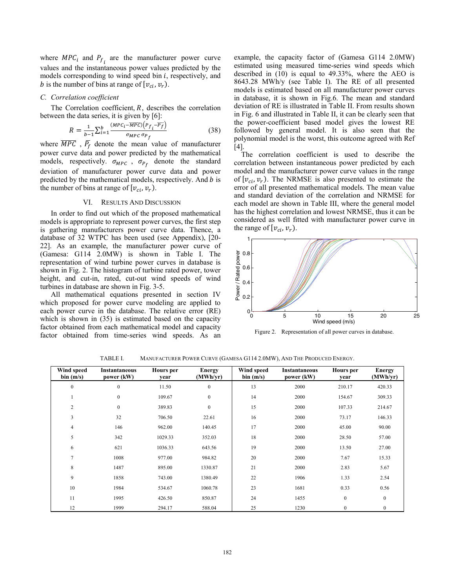where  $\text{MPC}_i$  and  $P_{f_i}$  are the manufacturer power curve values and the instantaneous power values predicted by the models corresponding to wind speed bin  $i$ , respectively, and b is the number of bins at range of  $[v_{ci}, v_r]$ .

### *C. Correlation coefficient*

The Correlation coefficient,  $R$ , describes the correlation between the data series, it is given by [6]:

$$
R = \frac{1}{b-1} \sum_{i=1}^{b} \frac{(MPC_i - \overline{MPC}) \left( P_{f_i} - \overline{P_f} \right)}{\sigma_{MPC} \sigma_{P_f}} \tag{38}
$$

where  $\overline{MPC}$ ,  $\overline{P_f}$  denote the mean value of manufacturer power curve data and power predicted by the mathematical models, respectively.  $\sigma_{MPC}$ ,  $\sigma_{P_f}$  denote the standard deviation of manufacturer power curve data and power predicted by the mathematical models, respectively. And  $b$  is the number of bins at range of  $[v_{ci}, v_r]$ .

### VI. RESULTS AND DISCUSSION

In order to find out which of the proposed mathematical models is appropriate to represent power curves, the first step is gathering manufacturers power curve data. Thence, a database of 32 WTPC has been used (see Appendix), [20- 22]. As an example, the manufacturer power curve of (Gamesa: G114 2.0MW) is shown in Table I. The representation of wind turbine power curves in database is shown in Fig. 2. The histogram of turbine rated power, tower height, and cut-in, rated, cut-out wind speeds of wind turbines in database are shown in Fig. 3-5.

All mathematical equations presented in section IV which proposed for power curve modeling are applied to each power curve in the database. The relative error (RE) which is shown in  $(35)$  is estimated based on the capacity factor obtained from each mathematical model and capacity factor obtained from time-series wind speeds. As an example, the capacity factor of (Gamesa G114 2.0MW) estimated using measured time-series wind speeds which described in (10) is equal to 49.33%, where the AEO is 8643.28 MWh/y (see Table I). The RE of all presented models is estimated based on all manufacturer power curves in database, it is shown in Fig.6. The mean and standard deviation of RE is illustrated in Table II. From results shown in Fig. 6 and illustrated in Table II, it can be clearly seen that the power-coefficient based model gives the lowest RE followed by general model. It is also seen that the polynomial model is the worst, this outcome agreed with Ref [4].

 The correlation coefficient is used to describe the correlation between instantaneous power predicted by each model and the manufacturer power curve values in the range of  $[v_{ci}, v_r]$ . The NRMSE is also presented to estimate the error of all presented mathematical models. The mean value and standard deviation of the correlation and NRMSE for each model are shown in Table III, where the general model has the highest correlation and lowest NRMSE, thus it can be considered as well fitted with manufacturer power curve in the range of  $[v_{ci}, v_r]$ .



Figure 2. Representation of all power curves in database.

| Wind speed<br>bin(m/s) | Instantaneous<br>power (kW) | <b>Hours</b> per<br>year | <b>Energy</b><br>(MWh/yr) | Wind speed<br>bin(m/s) | <b>Instantaneous</b><br>power (kW) | <b>Hours</b> per<br>year | <b>Energy</b><br>(MWh/yr) |
|------------------------|-----------------------------|--------------------------|---------------------------|------------------------|------------------------------------|--------------------------|---------------------------|
| $\mathbf{0}$           | $\mathbf{0}$                | 11.50                    | $\mathbf{0}$              | 13                     | 2000                               | 210.17                   | 420.33                    |
| -1                     | $\bf{0}$                    | 109.67                   | $\mathbf{0}$              | 14                     | 2000                               | 154.67                   | 309.33                    |
| $\overline{2}$         | $\bf{0}$                    | 389.83                   | $\mathbf{0}$              | 15                     | 2000                               | 107.33                   | 214.67                    |
| 3                      | 32                          | 706.50                   | 22.61                     | 16                     | 2000                               | 73.17                    | 146.33                    |
| $\overline{4}$         | 146                         | 962.00                   | 140.45                    | 17                     | 2000                               | 45.00                    | 90.00                     |
| 5                      | 342                         | 1029.33                  | 352.03                    | 18                     | 2000                               | 28.50                    | 57.00                     |
| 6                      | 621                         | 1036.33                  | 643.56                    | 19                     | 2000                               | 13.50                    | 27.00                     |
| $\overline{7}$         | 1008                        | 977.00                   | 984.82                    | 20                     | 2000                               | 7.67                     | 15.33                     |
| 8                      | 1487                        | 895.00                   | 1330.87                   | 21                     | 2000                               | 2.83                     | 5.67                      |
| 9                      | 1858                        | 743.00                   | 1380.49                   | 22                     | 1906                               | 1.33                     | 2.54                      |
| 10                     | 1984                        | 534.67                   | 1060.78                   | 23                     | 1681                               | 0.33                     | 0.56                      |
| 11                     | 1995                        | 426.50                   | 850.87                    | 24                     | 1455                               | $\boldsymbol{0}$         | $\mathbf{0}$              |
| 12                     | 1999                        | 294.17                   | 588.04                    | 25                     | 1230                               | $\mathbf{0}$             | $\mathbf{0}$              |

TABLE I. MANUFACTURER POWER CURVE (GAMESA G114 2.0MW), AND THE PRODUCED ENERGY.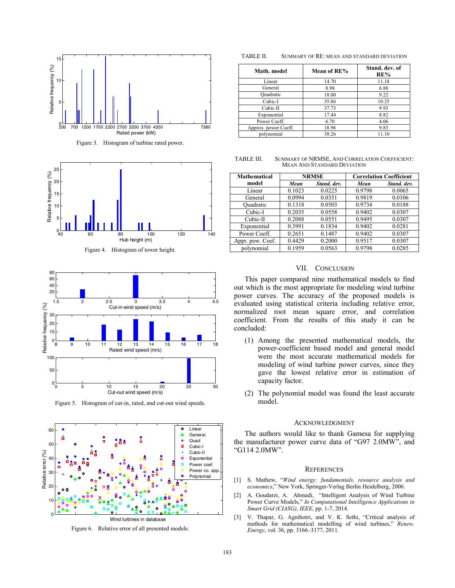

Figure 3. Histogram of turbine rated power.



Figure 4. Histogram of tower height.



Figure 5. Histogram of cut-in, rated, and cut-out wind speeds.



Figure 6. Relative error of all presented models.

TABLE II. SUMMARY OF RE: MEAN AND STANDARD DEVIATION

| Math. model          | Mean of RE% | Stand. dev. of<br>RE% |
|----------------------|-------------|-----------------------|
| Linear               | 14.70       | 11.18                 |
| General              | 8.98        | 6.88                  |
| Quadratic            | 18.00       | 9.22                  |
| Cubic-I              | 35.86       | 10.25                 |
| Cubic-II             | 37.73       | 9.93                  |
| Exponential          | 17.44       | 8.82                  |
| Power Coeff.         | 6.70        | 4.06                  |
| Approx. power Coeff. | 18.98       | 9.83                  |
| polynomial           | 38.26       | 11.10                 |

TABLE III. SUMMARY OF NRMSE, AND CORRELATION COEFFICIENT: MEAN AND STANDARD DEVIATION

| <b>Mathematical</b> |        | <b>NRMSE</b> | <b>Correlation Coefficient</b> |             |  |
|---------------------|--------|--------------|--------------------------------|-------------|--|
| model               | Mean   | Stand, dev.  | Mean                           | Stand, dev. |  |
| Linear              | 0.1023 | 0.0225       | 0.9798                         | 0.0065      |  |
| General             | 0.0994 | 0.0351       | 0.9819                         | 0.0106      |  |
| Ouadratic           | 0.1318 | 0.0503       | 0.9734                         | 0.0188      |  |
| Cubic-I             | 0.2035 | 0.0558       | 0.9402                         | 0.0307      |  |
| Cubic-II            | 0.2088 | 0.0551       | 0.9495                         | 0.0307      |  |
| Exponential         | 0.3991 | 0.1834       | 0.9402                         | 0.0281      |  |
| Power Coeff.        | 0.2651 | 0.1487       | 0.9402                         | 0.0307      |  |
| Appr. pow. Coef.    | 0.4429 | 0.2000       | 0.9517                         | 0.0307      |  |
| polynomial          | 0.1959 | 0.0563       | 0.9798                         | 0.0285      |  |

#### VII. CONCLUSION

This paper compared nine mathematical models to find out which is the most appropriate for modeling wind turbine power curves. The accuracy of the proposed models is evaluated using statistical criteria including relative error, normalized root mean square error, and correlation coefficient. From the results of this study it can be concluded:

- (1) Among the presented mathematical models, the power-coefficient based model and general model were the most accurate mathematical models for modeling of wind turbine power curves, since they gave the lowest relative error in estimation of capacity factor.
- (2) The polynomial model was found the least accurate model.

#### ACKNOWLEDGMENT

The authors would like to thank Gamesa for supplying the manufacturer power curve data of "G97 2.0MW", and "G114 2.0MW".

#### **REFERENCES**

- [1] S. Mathew, "*Wind energy: fundamentals, resource analysis and economics*," New York, Springer-Verlag Berlin Heidelberg, 2006.
- [2] A. Goudarzi, A. Ahmadi, "Intelligent Analysis of Wind Turbine Power Curve Models," *In Computational Intelligence Applications in Smart Grid (CIASG), IEEE*, pp. 1-7, 2014.
- [3] V. Thapar, G. Agnihotri, and V. K. Sethi, "Critical analysis of methods for mathematical modelling of wind turbines," *Renew. Energy*, vol. 36, pp. 3166–3177, 2011.